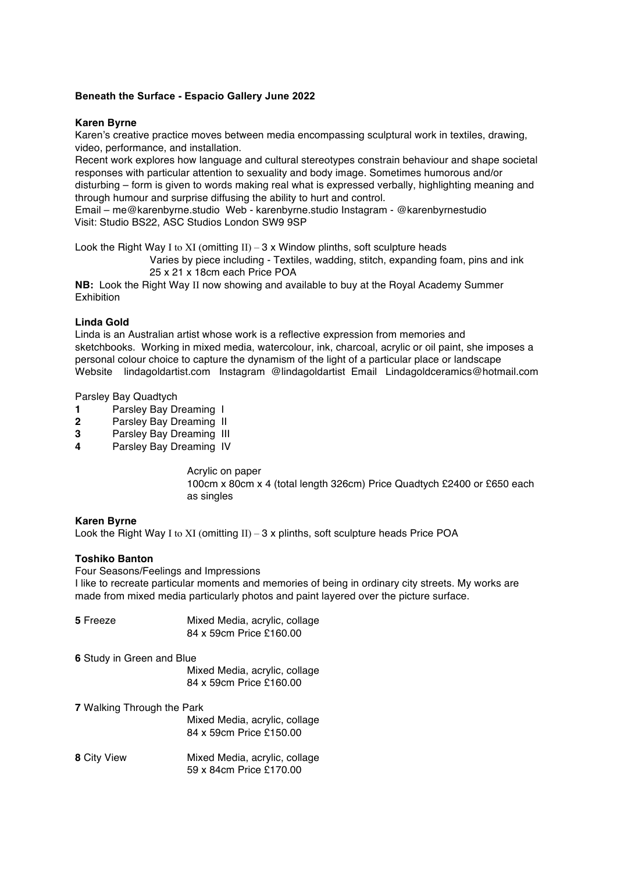# **Beneath the Surface - Espacio Gallery June 2022**

# **Karen Byrne**

Karen's creative practice moves between media encompassing sculptural work in textiles, drawing, video, performance, and installation.

Recent work explores how language and cultural stereotypes constrain behaviour and shape societal responses with particular attention to sexuality and body image. Sometimes humorous and/or disturbing – form is given to words making real what is expressed verbally, highlighting meaning and through humour and surprise diffusing the ability to hurt and control.

Email – me@karenbyrne.studio Web - karenbyrne.studio Instagram - @karenbyrnestudio Visit: Studio BS22, ASC Studios London SW9 9SP

Look the Right Way I to XI (omitting  $II$ ) – 3 x Window plinths, soft sculpture heads

Varies by piece including - Textiles, wadding, stitch, expanding foam, pins and ink 25 x 21 x 18cm each Price POA

**NB:** Look the Right Way II now showing and available to buy at the Royal Academy Summer Exhibition

### **Linda Gold**

Linda is an Australian artist whose work is a reflective expression from memories and sketchbooks. Working in mixed media, watercolour, ink, charcoal, acrylic or oil paint, she imposes a personal colour choice to capture the dynamism of the light of a particular place or landscape Website lindagoldartist.com Instagram @lindagoldartist Email Lindagoldceramics@hotmail.com

Parsley Bay Quadtych

- **1** Parsley Bay Dreaming I
- **2** Parsley Bay Dreaming II
- **3** Parsley Bay Dreaming III
- **4** Parsley Bay Dreaming IV

Acrylic on paper 100cm x 80cm x 4 (total length 326cm) Price Quadtych £2400 or £650 each as singles

### **Karen Byrne**

Look the Right Way I to XI (omitting  $II$ ) – 3 x plinths, soft sculpture heads Price POA

### **Toshiko Banton**

Four Seasons/Feelings and Impressions

I like to recreate particular moments and memories of being in ordinary city streets. My works are made from mixed media particularly photos and paint layered over the picture surface.

| 5 Freeze                          | Mixed Media, acrylic, collage<br>84 x 59cm Price £160.00 |
|-----------------------------------|----------------------------------------------------------|
| <b>6</b> Study in Green and Blue  |                                                          |
|                                   | Mixed Media, acrylic, collage                            |
|                                   | 84 x 59cm Price £160.00                                  |
| <b>7</b> Walking Through the Park |                                                          |
|                                   | Mixed Media, acrylic, collage                            |
|                                   | 84 x 59cm Price £150.00                                  |
| 8 City View                       | Mixed Media, acrylic, collage                            |
|                                   | 59 x 84cm Price £170.00                                  |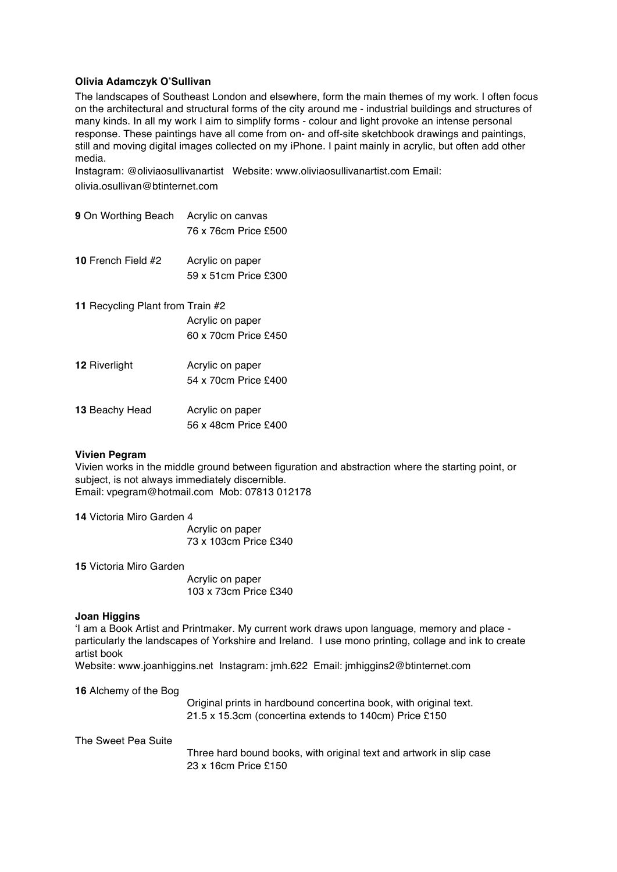# **Olivia Adamczyk O'Sullivan**

The landscapes of Southeast London and elsewhere, form the main themes of my work. I often focus on the architectural and structural forms of the city around me - industrial buildings and structures of many kinds. In all my work I aim to simplify forms - colour and light provoke an intense personal response. These paintings have all come from on- and off-site sketchbook drawings and paintings, still and moving digital images collected on my iPhone. I paint mainly in acrylic, but often add other media.

Instagram: @oliviaosullivanartist Website: www.oliviaosullivanartist.com Email: olivia.osullivan@btinternet.com

- **9** On Worthing Beach Acrylic on canvas 76 x 76cm Price £500
- **10** French Field #2 Acrylic on paper 59 x 51cm Price £300
- **11** Recycling Plant from Train #2 Acrylic on paper 60 x 70cm Price £450
- **12** Riverlight **Acrylic on paper** 54 x 70cm Price £400 13 Beachy Head Acrylic on paper
	- 56 x 48cm Price £400

### **Vivien Pegram**

Vivien works in the middle ground between figuration and abstraction where the starting point, or subject, is not always immediately discernible. Email: vpegram@hotmail.com Mob: 07813 012178

**14** Victoria Miro Garden 4

Acrylic on paper 73 x 103cm Price £340

**15** Victoria Miro Garden

Acrylic on paper 103 x 73cm Price £340

### **Joan Higgins**

'I am a Book Artist and Printmaker. My current work draws upon language, memory and place particularly the landscapes of Yorkshire and Ireland. I use mono printing, collage and ink to create artist book

Website: www.joanhiggins.net Instagram: jmh.622 Email: jmhiggins2@btinternet.com

**16** Alchemy of the Bog

Original prints in hardbound concertina book, with original text. 21.5 x 15.3cm (concertina extends to 140cm) Price £150

The Sweet Pea Suite

Three hard bound books, with original text and artwork in slip case 23 x 16cm Price £150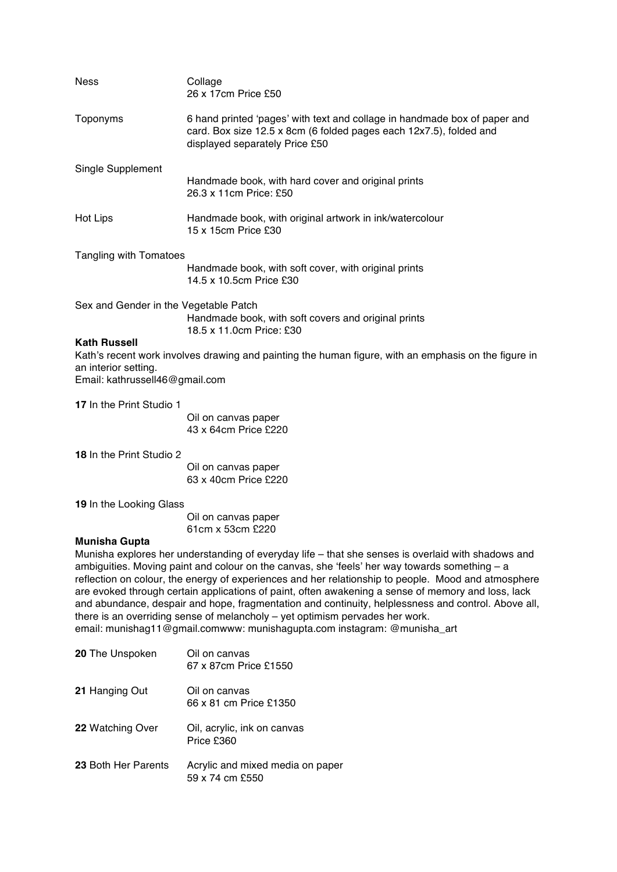| <b>Ness</b>                                                                   | Collage<br>26 x 17cm Price £50                                                                                                                                                                                                                                                                                                                                                                                                                                                                                                                                                                                                                                                        |
|-------------------------------------------------------------------------------|---------------------------------------------------------------------------------------------------------------------------------------------------------------------------------------------------------------------------------------------------------------------------------------------------------------------------------------------------------------------------------------------------------------------------------------------------------------------------------------------------------------------------------------------------------------------------------------------------------------------------------------------------------------------------------------|
| Toponyms                                                                      | 6 hand printed 'pages' with text and collage in handmade box of paper and<br>card. Box size 12.5 x 8cm (6 folded pages each 12x7.5), folded and<br>displayed separately Price £50                                                                                                                                                                                                                                                                                                                                                                                                                                                                                                     |
| Single Supplement                                                             | Handmade book, with hard cover and original prints<br>26.3 x 11cm Price: £50                                                                                                                                                                                                                                                                                                                                                                                                                                                                                                                                                                                                          |
| Hot Lips                                                                      | Handmade book, with original artwork in ink/watercolour<br>15 x 15cm Price £30                                                                                                                                                                                                                                                                                                                                                                                                                                                                                                                                                                                                        |
| Tangling with Tomatoes                                                        |                                                                                                                                                                                                                                                                                                                                                                                                                                                                                                                                                                                                                                                                                       |
|                                                                               | Handmade book, with soft cover, with original prints<br>14.5 x 10.5cm Price £30                                                                                                                                                                                                                                                                                                                                                                                                                                                                                                                                                                                                       |
| Sex and Gender in the Vegetable Patch                                         | Handmade book, with soft covers and original prints<br>18.5 x 11.0cm Price: £30                                                                                                                                                                                                                                                                                                                                                                                                                                                                                                                                                                                                       |
| <b>Kath Russell</b><br>an interior setting.<br>Email: kathrussell46@gmail.com | Kath's recent work involves drawing and painting the human figure, with an emphasis on the figure in                                                                                                                                                                                                                                                                                                                                                                                                                                                                                                                                                                                  |
| 17 In the Print Studio 1                                                      |                                                                                                                                                                                                                                                                                                                                                                                                                                                                                                                                                                                                                                                                                       |
|                                                                               | Oil on canvas paper<br>43 x 64cm Price £220                                                                                                                                                                                                                                                                                                                                                                                                                                                                                                                                                                                                                                           |
| 18 In the Print Studio 2                                                      |                                                                                                                                                                                                                                                                                                                                                                                                                                                                                                                                                                                                                                                                                       |
|                                                                               | Oil on canvas paper<br>63 x 40cm Price £220                                                                                                                                                                                                                                                                                                                                                                                                                                                                                                                                                                                                                                           |
| 19 In the Looking Glass                                                       |                                                                                                                                                                                                                                                                                                                                                                                                                                                                                                                                                                                                                                                                                       |
|                                                                               | Oil on canvas paper<br>61cm x 53cm £220                                                                                                                                                                                                                                                                                                                                                                                                                                                                                                                                                                                                                                               |
| <b>Munisha Gupta</b>                                                          |                                                                                                                                                                                                                                                                                                                                                                                                                                                                                                                                                                                                                                                                                       |
|                                                                               | Munisha explores her understanding of everyday life – that she senses is overlaid with shadows and<br>ambiguities. Moving paint and colour on the canvas, she 'feels' her way towards something $-$ a<br>reflection on colour, the energy of experiences and her relationship to people. Mood and atmosphere<br>are evoked through certain applications of paint, often awakening a sense of memory and loss, lack<br>and abundance, despair and hope, fragmentation and continuity, helplessness and control. Above all,<br>there is an overriding sense of melancholy - yet optimism pervades her work.<br>email: munishag11@gmail.comwww: munishagupta.com instagram: @munisha_art |
| 20 The Unspoken                                                               | Oil on canvas<br>67 x 87cm Price £1550                                                                                                                                                                                                                                                                                                                                                                                                                                                                                                                                                                                                                                                |
| 21 Hanging Out                                                                | Oil on canvas<br>66 x 81 cm Price £1350                                                                                                                                                                                                                                                                                                                                                                                                                                                                                                                                                                                                                                               |
| 22 Watching Over                                                              | Oil, acrylic, ink on canvas<br>Price £360                                                                                                                                                                                                                                                                                                                                                                                                                                                                                                                                                                                                                                             |
| 23 Both Her Parents                                                           | Acrylic and mixed media on paper<br>59 x 74 cm £550                                                                                                                                                                                                                                                                                                                                                                                                                                                                                                                                                                                                                                   |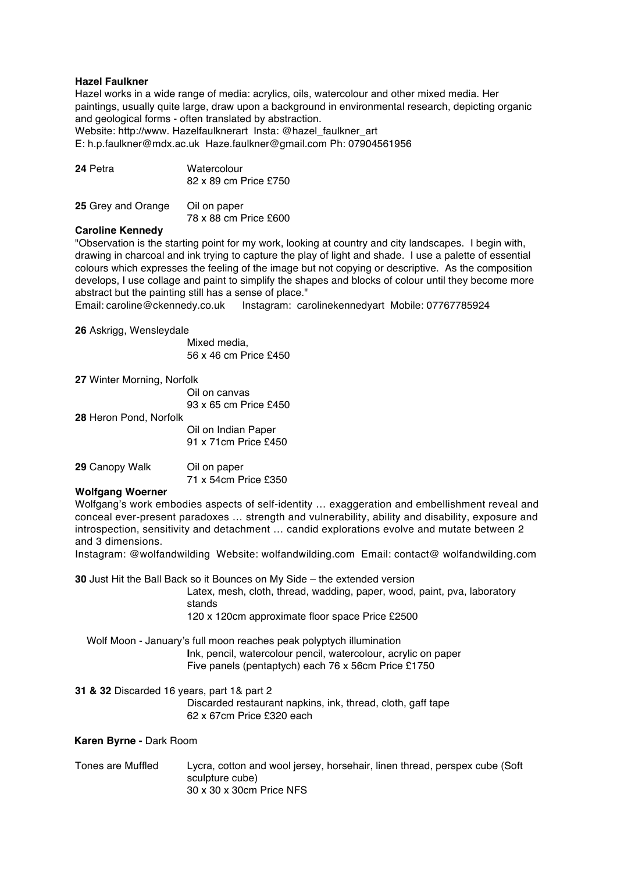# **Hazel Faulkner**

Hazel works in a wide range of media: acrylics, oils, watercolour and other mixed media. Her paintings, usually quite large, draw upon a background in environmental research, depicting organic and geological forms - often translated by abstraction.

Website: http://www. Hazelfaulknerart Insta: @hazel\_faulkner\_art

E: h.p.faulkner@mdx.ac.uk Haze.faulkner@gmail.com Ph: 07904561956

| 24 Petra | Watercolour           |
|----------|-----------------------|
|          | 82 x 89 cm Price £750 |
|          |                       |

| 25 Grey and Orange | Oil on paper          |
|--------------------|-----------------------|
|                    | 78 x 88 cm Price £600 |

# **Caroline Kennedy**

"Observation is the starting point for my work, looking at country and city landscapes. I begin with, drawing in charcoal and ink trying to capture the play of light and shade. I use a palette of essential colours which expresses the feeling of the image but not copying or descriptive. As the composition develops, I use collage and paint to simplify the shapes and blocks of colour until they become more abstract but the painting still has a sense of place."

Email: caroline@ckennedy.co.uk Instagram: carolinekennedyart Mobile: 07767785924

#### **26** Askrigg, Wensleydale

Mixed media, 56 x 46 cm Price £450

| 27 Winter Morning, Norfolk |                       |
|----------------------------|-----------------------|
|                            | Oil on canvas         |
|                            | 93 x 65 cm Price £450 |
| 28 Heron Pond, Norfolk     |                       |
|                            | Oil on Indian Paper   |
|                            | 91 x 71cm Price £450  |
| 29 Canopy Walk             | Oil on paper          |

71 x 54cm Price £350

### **Wolfgang Woerner**

Wolfgang's work embodies aspects of self-identity … exaggeration and embellishment reveal and conceal ever-present paradoxes … strength and vulnerability, ability and disability, exposure and introspection, sensitivity and detachment … candid explorations evolve and mutate between 2 and 3 dimensions.

Instagram: @wolfandwilding Website: wolfandwilding.com Email: contact@ wolfandwilding.com

**30** Just Hit the Ball Back so it Bounces on My Side – the extended version

Latex, mesh, cloth, thread, wadding, paper, wood, paint, pva, laboratory stands

120 x 120cm approximate floor space Price £2500

 Wolf Moon - January's full moon reaches peak polyptych illumination **I**nk, pencil, watercolour pencil, watercolour, acrylic on paper Five panels (pentaptych) each 76 x 56cm Price £1750

# **31 & 32** Discarded 16 years, part 1& part 2 Discarded restaurant napkins, ink, thread, cloth, gaff tape 62 x 67cm Price £320 each

**Karen Byrne -** Dark Room

Tones are Muffled Lycra, cotton and wool jersey, horsehair, linen thread, perspex cube (Soft sculpture cube) 30 x 30 x 30cm Price NFS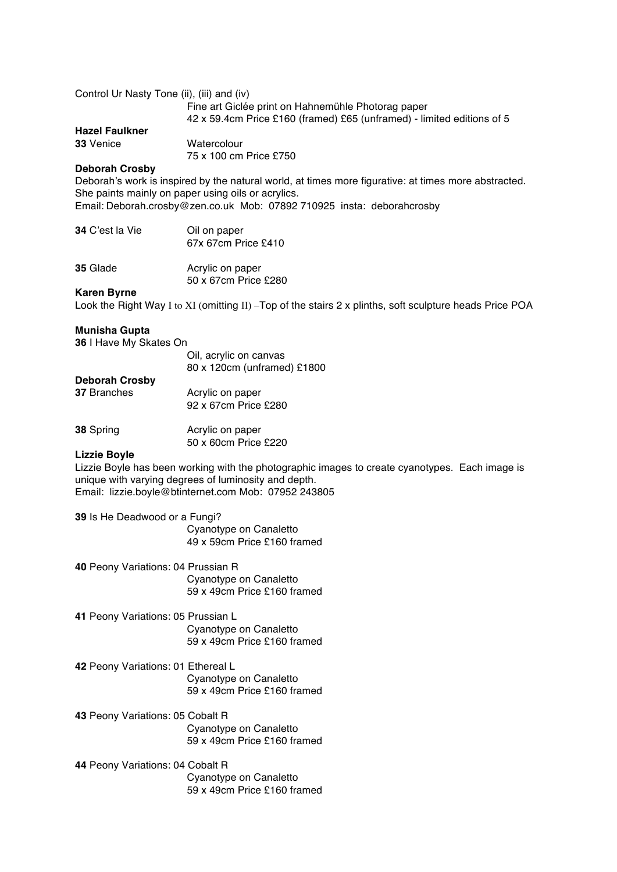| Control Ur Nasty Tone (ii), (iii) and (iv)                                                                                                                                                                                                                    | Fine art Giclée print on Hahnemühle Photorag paper<br>42 x 59.4cm Price £160 (framed) £65 (unframed) - limited editions of 5 |  |
|---------------------------------------------------------------------------------------------------------------------------------------------------------------------------------------------------------------------------------------------------------------|------------------------------------------------------------------------------------------------------------------------------|--|
| <b>Hazel Faulkner</b><br>33 Venice                                                                                                                                                                                                                            | Watercolour<br>75 x 100 cm Price £750                                                                                        |  |
| <b>Deborah Crosby</b><br>Deborah's work is inspired by the natural world, at times more figurative: at times more abstracted.<br>She paints mainly on paper using oils or acrylics.<br>Email: Deborah.crosby@zen.co.uk Mob: 07892 710925 insta: deborahcrosby |                                                                                                                              |  |
| 34 C'est la Vie                                                                                                                                                                                                                                               | Oil on paper<br>67x 67cm Price £410                                                                                          |  |
| 35 Glade                                                                                                                                                                                                                                                      | Acrylic on paper<br>50 x 67cm Price £280                                                                                     |  |
| <b>Karen Byrne</b>                                                                                                                                                                                                                                            | Look the Right Way I to XI (omitting II) - Top of the stairs 2 x plinths, soft sculpture heads Price POA                     |  |
| <b>Munisha Gupta</b><br>36 I Have My Skates On                                                                                                                                                                                                                |                                                                                                                              |  |
|                                                                                                                                                                                                                                                               | Oil, acrylic on canvas<br>80 x 120cm (unframed) £1800                                                                        |  |
| <b>Deborah Crosby</b><br>37 Branches                                                                                                                                                                                                                          | Acrylic on paper<br>92 x 67cm Price £280                                                                                     |  |
| 38 Spring                                                                                                                                                                                                                                                     | Acrylic on paper<br>50 x 60cm Price £220                                                                                     |  |
| <b>Lizzie Boyle</b><br>Lizzie Boyle has been working with the photographic images to create cyanotypes. Each image is<br>unique with varying degrees of luminosity and depth.<br>Email: lizzie.boyle@btinternet.com Mob: 07952 243805                         |                                                                                                                              |  |
| 39 Is He Deadwood or a Fungi?<br>Cyanotype on Canaletto                                                                                                                                                                                                       |                                                                                                                              |  |
|                                                                                                                                                                                                                                                               | 49 x 59cm Price £160 framed                                                                                                  |  |
| 40 Peony Variations: 04 Prussian R                                                                                                                                                                                                                            | Cyanotype on Canaletto<br>59 x 49cm Price £160 framed                                                                        |  |
| 41 Peony Variations: 05 Prussian L                                                                                                                                                                                                                            | Cyanotype on Canaletto<br>59 x 49cm Price £160 framed                                                                        |  |
| 42 Peony Variations: 01 Ethereal L                                                                                                                                                                                                                            | Cyanotype on Canaletto<br>59 x 49cm Price £160 framed                                                                        |  |
| 43 Peony Variations: 05 Cobalt R                                                                                                                                                                                                                              | Cyanotype on Canaletto<br>59 x 49cm Price £160 framed                                                                        |  |
| 44 Peony Variations: 04 Cobalt R                                                                                                                                                                                                                              | Cyanotype on Canaletto<br>59 x 49cm Price £160 framed                                                                        |  |